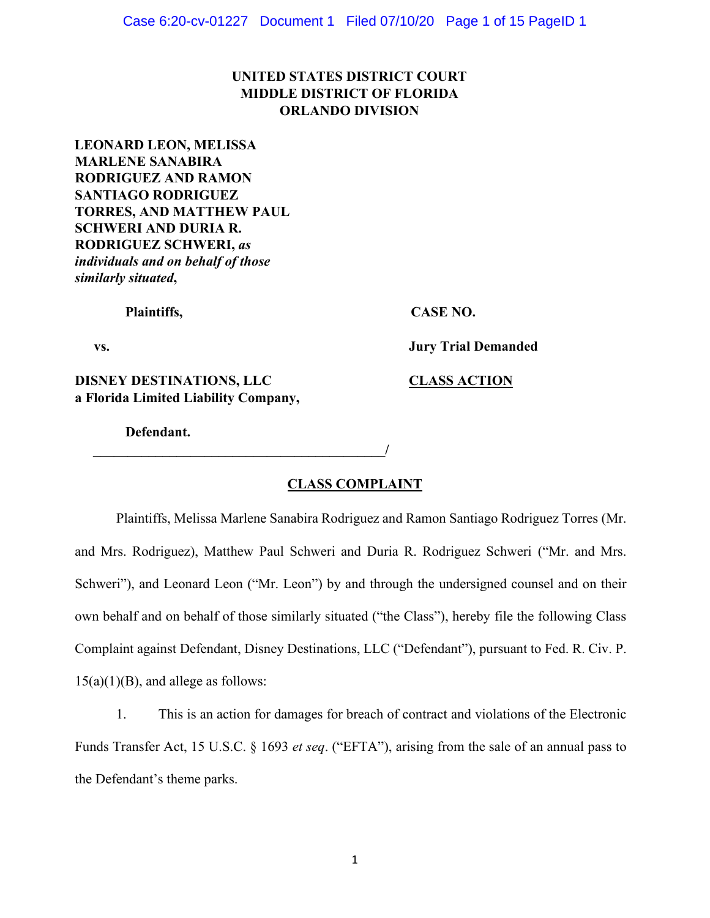# **UNITED STATES DISTRICT COURT MIDDLE DISTRICT OF FLORIDA ORLANDO DIVISION**

**LEONARD LEON, MELISSA MARLENE SANABIRA RODRIGUEZ AND RAMON SANTIAGO RODRIGUEZ TORRES, AND MATTHEW PAUL SCHWERI AND DURIA R. RODRIGUEZ SCHWERI,** *as individuals and on behalf of those similarly situated***,** 

Plaintiffs, CASE NO.

**vs. Jury Trial Demanded** 

**DISNEY DESTINATIONS, LLC CLASS ACTION a Florida Limited Liability Company,**

 $\overline{\phantom{a}}$ 

**Defendant.** 

### **CLASS COMPLAINT**

Plaintiffs, Melissa Marlene Sanabira Rodriguez and Ramon Santiago Rodriguez Torres (Mr. and Mrs. Rodriguez), Matthew Paul Schweri and Duria R. Rodriguez Schweri ("Mr. and Mrs. Schweri"), and Leonard Leon ("Mr. Leon") by and through the undersigned counsel and on their own behalf and on behalf of those similarly situated ("the Class"), hereby file the following Class Complaint against Defendant, Disney Destinations, LLC ("Defendant"), pursuant to Fed. R. Civ. P.  $15(a)(1)(B)$ , and allege as follows:

1. This is an action for damages for breach of contract and violations of the Electronic Funds Transfer Act, 15 U.S.C. § 1693 *et seq*. ("EFTA"), arising from the sale of an annual pass to the Defendant's theme parks.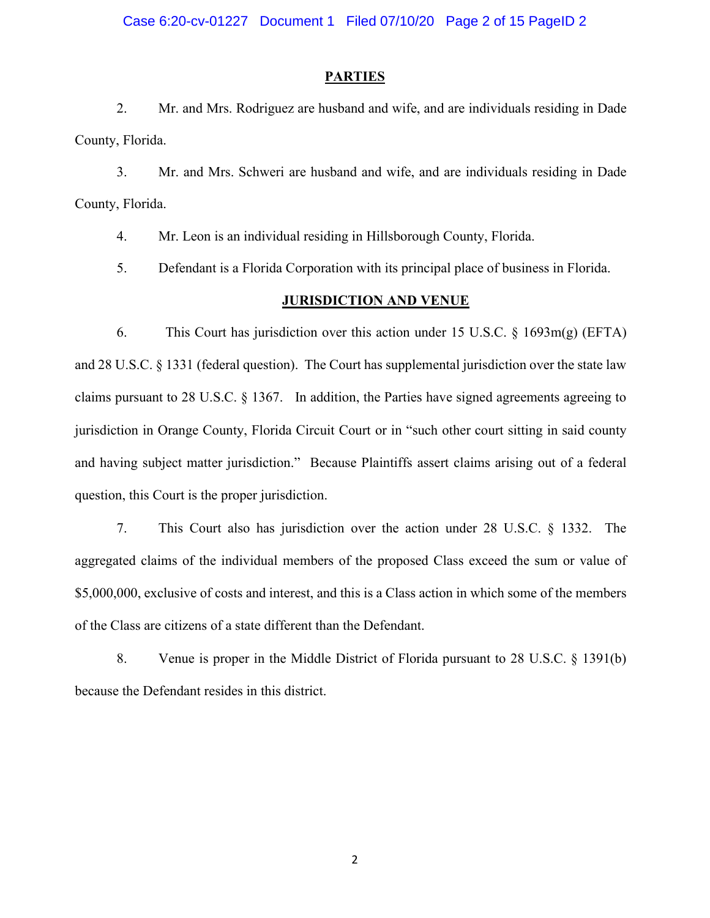### **PARTIES**

2. Mr. and Mrs. Rodriguez are husband and wife, and are individuals residing in Dade County, Florida.

3. Mr. and Mrs. Schweri are husband and wife, and are individuals residing in Dade County, Florida.

4. Mr. Leon is an individual residing in Hillsborough County, Florida.

5. Defendant is a Florida Corporation with its principal place of business in Florida.

### **JURISDICTION AND VENUE**

6. This Court has jurisdiction over this action under 15 U.S.C. § 1693m(g) (EFTA) and 28 U.S.C. § 1331 (federal question). The Court has supplemental jurisdiction over the state law claims pursuant to 28 U.S.C. § 1367. In addition, the Parties have signed agreements agreeing to jurisdiction in Orange County, Florida Circuit Court or in "such other court sitting in said county and having subject matter jurisdiction." Because Plaintiffs assert claims arising out of a federal question, this Court is the proper jurisdiction.

7. This Court also has jurisdiction over the action under 28 U.S.C. § 1332. The aggregated claims of the individual members of the proposed Class exceed the sum or value of \$5,000,000, exclusive of costs and interest, and this is a Class action in which some of the members of the Class are citizens of a state different than the Defendant.

8. Venue is proper in the Middle District of Florida pursuant to 28 U.S.C. § 1391(b) because the Defendant resides in this district.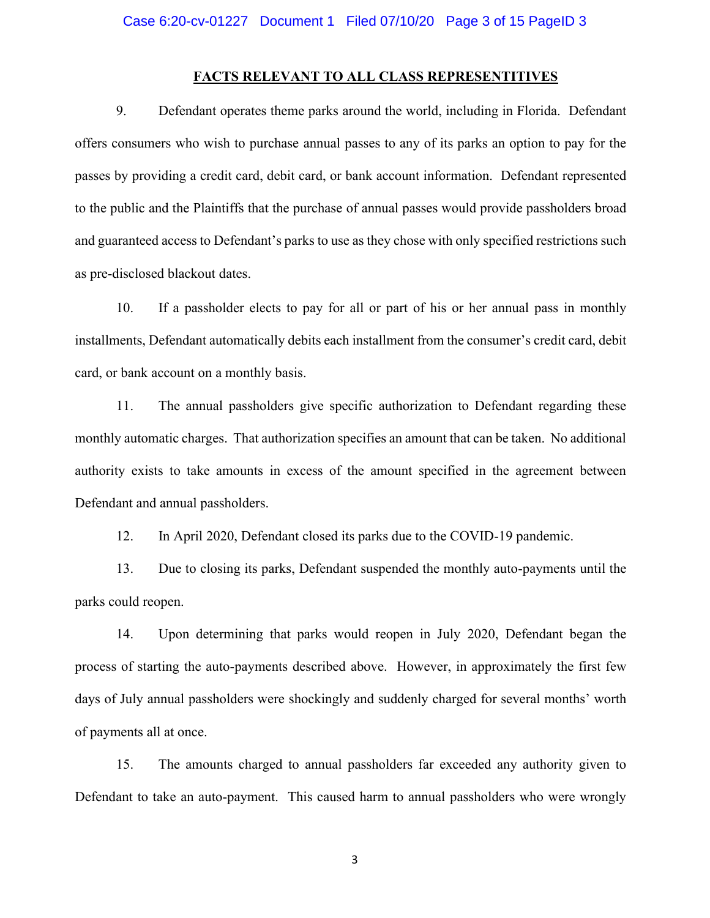#### **FACTS RELEVANT TO ALL CLASS REPRESENTITIVES**

9. Defendant operates theme parks around the world, including in Florida. Defendant offers consumers who wish to purchase annual passes to any of its parks an option to pay for the passes by providing a credit card, debit card, or bank account information. Defendant represented to the public and the Plaintiffs that the purchase of annual passes would provide passholders broad and guaranteed access to Defendant's parks to use as they chose with only specified restrictions such as pre-disclosed blackout dates.

10. If a passholder elects to pay for all or part of his or her annual pass in monthly installments, Defendant automatically debits each installment from the consumer's credit card, debit card, or bank account on a monthly basis.

11. The annual passholders give specific authorization to Defendant regarding these monthly automatic charges. That authorization specifies an amount that can be taken. No additional authority exists to take amounts in excess of the amount specified in the agreement between Defendant and annual passholders.

12. In April 2020, Defendant closed its parks due to the COVID-19 pandemic.

13. Due to closing its parks, Defendant suspended the monthly auto-payments until the parks could reopen.

14. Upon determining that parks would reopen in July 2020, Defendant began the process of starting the auto-payments described above. However, in approximately the first few days of July annual passholders were shockingly and suddenly charged for several months' worth of payments all at once.

15. The amounts charged to annual passholders far exceeded any authority given to Defendant to take an auto-payment. This caused harm to annual passholders who were wrongly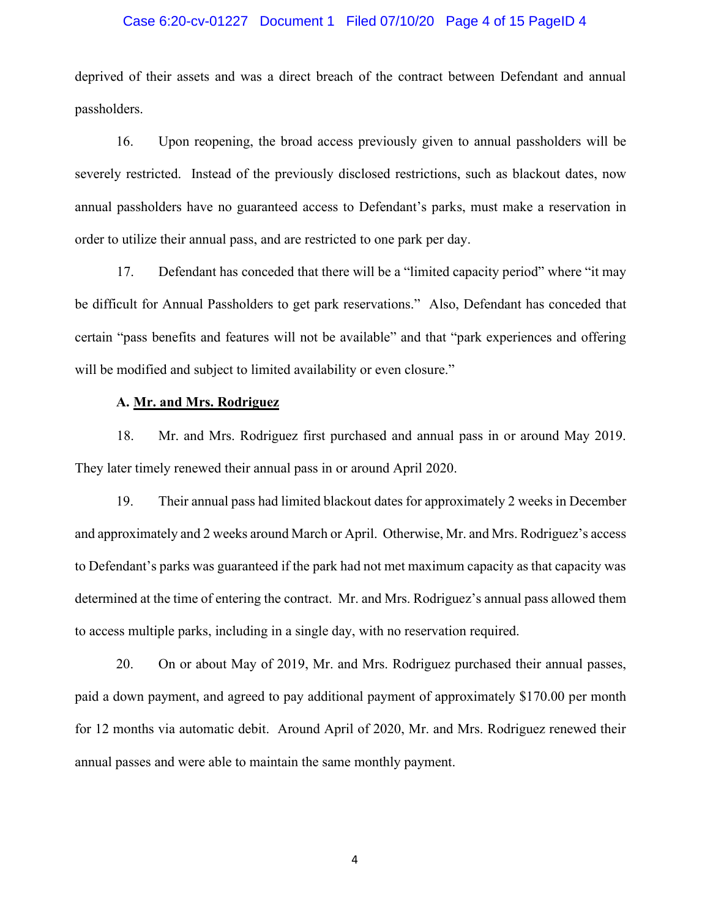#### Case 6:20-cv-01227 Document 1 Filed 07/10/20 Page 4 of 15 PageID 4

deprived of their assets and was a direct breach of the contract between Defendant and annual passholders.

16. Upon reopening, the broad access previously given to annual passholders will be severely restricted. Instead of the previously disclosed restrictions, such as blackout dates, now annual passholders have no guaranteed access to Defendant's parks, must make a reservation in order to utilize their annual pass, and are restricted to one park per day.

17. Defendant has conceded that there will be a "limited capacity period" where "it may be difficult for Annual Passholders to get park reservations." Also, Defendant has conceded that certain "pass benefits and features will not be available" and that "park experiences and offering will be modified and subject to limited availability or even closure."

### **A. Mr. and Mrs. Rodriguez**

18. Mr. and Mrs. Rodriguez first purchased and annual pass in or around May 2019. They later timely renewed their annual pass in or around April 2020.

19. Their annual pass had limited blackout dates for approximately 2 weeks in December and approximately and 2 weeks around March or April. Otherwise, Mr. and Mrs. Rodriguez's access to Defendant's parks was guaranteed if the park had not met maximum capacity as that capacity was determined at the time of entering the contract. Mr. and Mrs. Rodriguez's annual pass allowed them to access multiple parks, including in a single day, with no reservation required.

20. On or about May of 2019, Mr. and Mrs. Rodriguez purchased their annual passes, paid a down payment, and agreed to pay additional payment of approximately \$170.00 per month for 12 months via automatic debit. Around April of 2020, Mr. and Mrs. Rodriguez renewed their annual passes and were able to maintain the same monthly payment.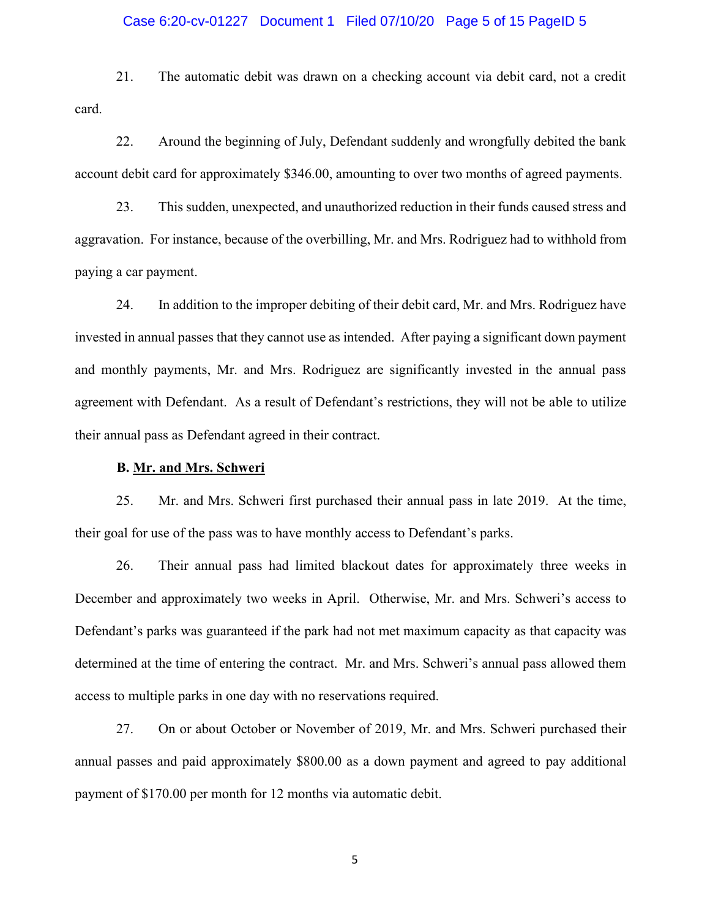#### Case 6:20-cv-01227 Document 1 Filed 07/10/20 Page 5 of 15 PageID 5

21. The automatic debit was drawn on a checking account via debit card, not a credit card.

22. Around the beginning of July, Defendant suddenly and wrongfully debited the bank account debit card for approximately \$346.00, amounting to over two months of agreed payments.

23. This sudden, unexpected, and unauthorized reduction in their funds caused stress and aggravation. For instance, because of the overbilling, Mr. and Mrs. Rodriguez had to withhold from paying a car payment.

24. In addition to the improper debiting of their debit card, Mr. and Mrs. Rodriguez have invested in annual passes that they cannot use as intended. After paying a significant down payment and monthly payments, Mr. and Mrs. Rodriguez are significantly invested in the annual pass agreement with Defendant. As a result of Defendant's restrictions, they will not be able to utilize their annual pass as Defendant agreed in their contract.

#### **B. Mr. and Mrs. Schweri**

25. Mr. and Mrs. Schweri first purchased their annual pass in late 2019. At the time, their goal for use of the pass was to have monthly access to Defendant's parks.

26. Their annual pass had limited blackout dates for approximately three weeks in December and approximately two weeks in April. Otherwise, Mr. and Mrs. Schweri's access to Defendant's parks was guaranteed if the park had not met maximum capacity as that capacity was determined at the time of entering the contract. Mr. and Mrs. Schweri's annual pass allowed them access to multiple parks in one day with no reservations required.

27. On or about October or November of 2019, Mr. and Mrs. Schweri purchased their annual passes and paid approximately \$800.00 as a down payment and agreed to pay additional payment of \$170.00 per month for 12 months via automatic debit.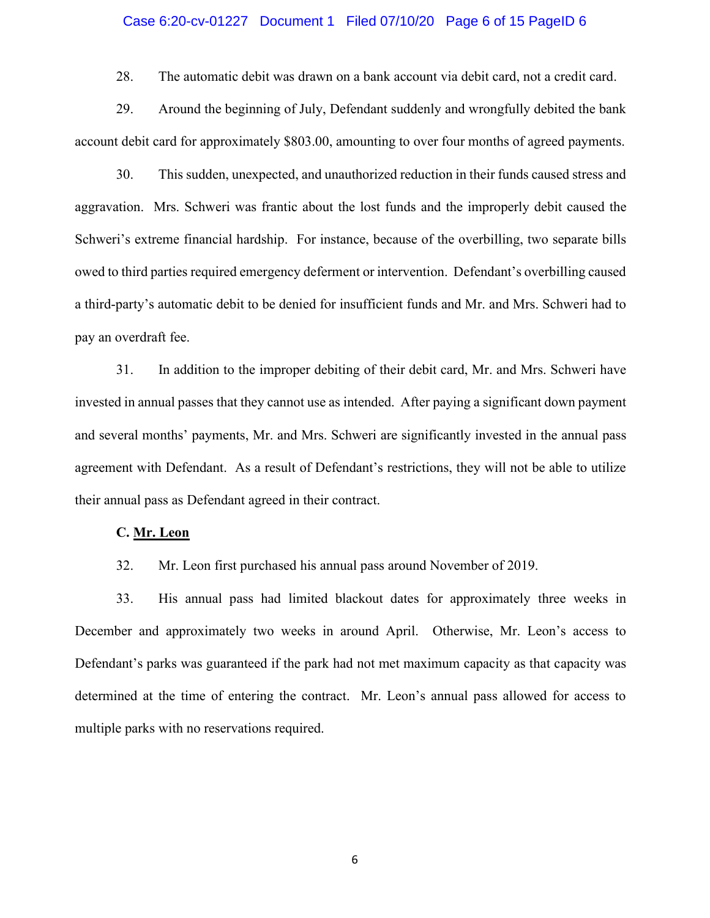#### Case 6:20-cv-01227 Document 1 Filed 07/10/20 Page 6 of 15 PageID 6

28. The automatic debit was drawn on a bank account via debit card, not a credit card.

29. Around the beginning of July, Defendant suddenly and wrongfully debited the bank account debit card for approximately \$803.00, amounting to over four months of agreed payments.

30. This sudden, unexpected, and unauthorized reduction in their funds caused stress and aggravation. Mrs. Schweri was frantic about the lost funds and the improperly debit caused the Schweri's extreme financial hardship. For instance, because of the overbilling, two separate bills owed to third parties required emergency deferment or intervention. Defendant's overbilling caused a third-party's automatic debit to be denied for insufficient funds and Mr. and Mrs. Schweri had to pay an overdraft fee.

31. In addition to the improper debiting of their debit card, Mr. and Mrs. Schweri have invested in annual passes that they cannot use as intended. After paying a significant down payment and several months' payments, Mr. and Mrs. Schweri are significantly invested in the annual pass agreement with Defendant. As a result of Defendant's restrictions, they will not be able to utilize their annual pass as Defendant agreed in their contract.

#### **C. Mr. Leon**

32. Mr. Leon first purchased his annual pass around November of 2019.

33. His annual pass had limited blackout dates for approximately three weeks in December and approximately two weeks in around April. Otherwise, Mr. Leon's access to Defendant's parks was guaranteed if the park had not met maximum capacity as that capacity was determined at the time of entering the contract. Mr. Leon's annual pass allowed for access to multiple parks with no reservations required.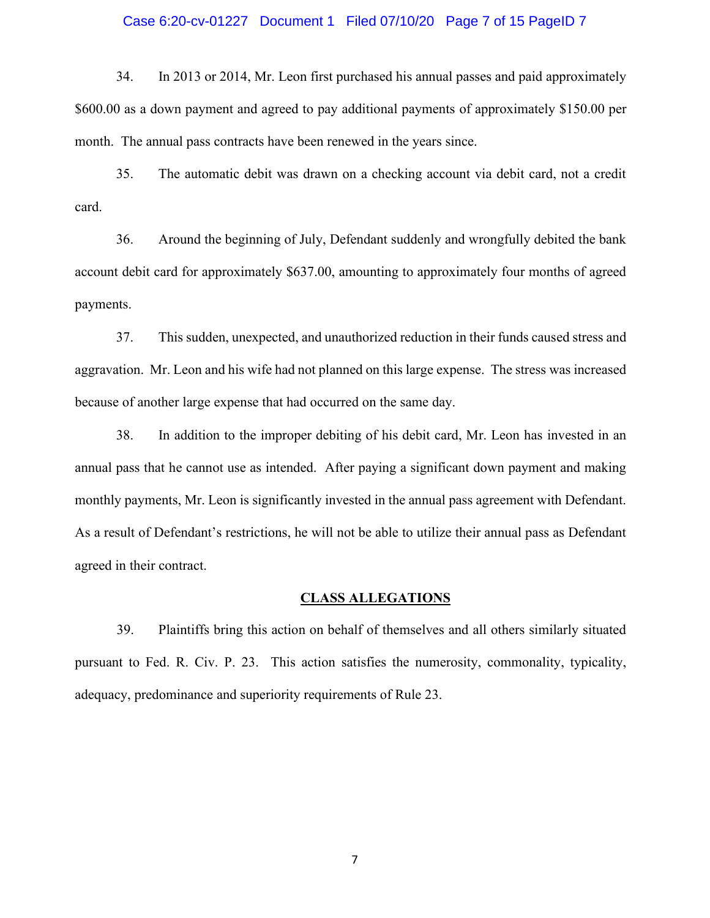#### Case 6:20-cv-01227 Document 1 Filed 07/10/20 Page 7 of 15 PageID 7

34. In 2013 or 2014, Mr. Leon first purchased his annual passes and paid approximately \$600.00 as a down payment and agreed to pay additional payments of approximately \$150.00 per month. The annual pass contracts have been renewed in the years since.

35. The automatic debit was drawn on a checking account via debit card, not a credit card.

36. Around the beginning of July, Defendant suddenly and wrongfully debited the bank account debit card for approximately \$637.00, amounting to approximately four months of agreed payments.

37. This sudden, unexpected, and unauthorized reduction in their funds caused stress and aggravation. Mr. Leon and his wife had not planned on this large expense. The stress was increased because of another large expense that had occurred on the same day.

38. In addition to the improper debiting of his debit card, Mr. Leon has invested in an annual pass that he cannot use as intended. After paying a significant down payment and making monthly payments, Mr. Leon is significantly invested in the annual pass agreement with Defendant. As a result of Defendant's restrictions, he will not be able to utilize their annual pass as Defendant agreed in their contract.

#### **CLASS ALLEGATIONS**

39. Plaintiffs bring this action on behalf of themselves and all others similarly situated pursuant to Fed. R. Civ. P. 23. This action satisfies the numerosity, commonality, typicality, adequacy, predominance and superiority requirements of Rule 23.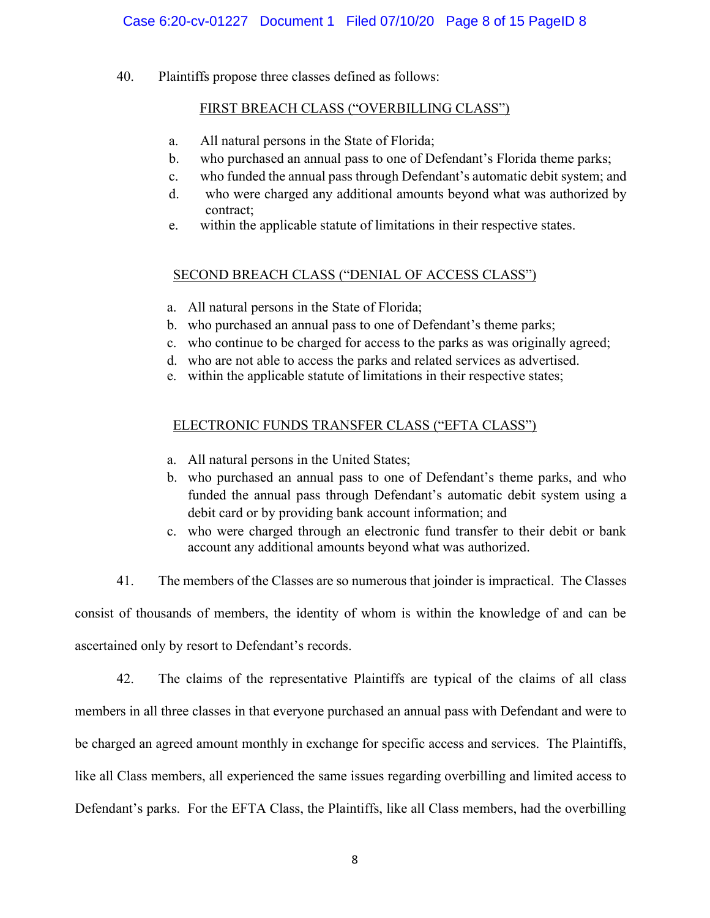40. Plaintiffs propose three classes defined as follows:

## FIRST BREACH CLASS ("OVERBILLING CLASS")

- a. All natural persons in the State of Florida;
- b. who purchased an annual pass to one of Defendant's Florida theme parks;
- c. who funded the annual pass through Defendant's automatic debit system; and
- d. who were charged any additional amounts beyond what was authorized by contract;
- e. within the applicable statute of limitations in their respective states.

## SECOND BREACH CLASS ("DENIAL OF ACCESS CLASS")

- a. All natural persons in the State of Florida;
- b. who purchased an annual pass to one of Defendant's theme parks;
- c. who continue to be charged for access to the parks as was originally agreed;
- d. who are not able to access the parks and related services as advertised.
- e. within the applicable statute of limitations in their respective states;

## ELECTRONIC FUNDS TRANSFER CLASS ("EFTA CLASS")

- a. All natural persons in the United States;
- b. who purchased an annual pass to one of Defendant's theme parks, and who funded the annual pass through Defendant's automatic debit system using a debit card or by providing bank account information; and
- c. who were charged through an electronic fund transfer to their debit or bank account any additional amounts beyond what was authorized.
- 41. The members of the Classes are so numerous that joinder is impractical. The Classes

consist of thousands of members, the identity of whom is within the knowledge of and can be

ascertained only by resort to Defendant's records.

42. The claims of the representative Plaintiffs are typical of the claims of all class members in all three classes in that everyone purchased an annual pass with Defendant and were to be charged an agreed amount monthly in exchange for specific access and services. The Plaintiffs, like all Class members, all experienced the same issues regarding overbilling and limited access to Defendant's parks. For the EFTA Class, the Plaintiffs, like all Class members, had the overbilling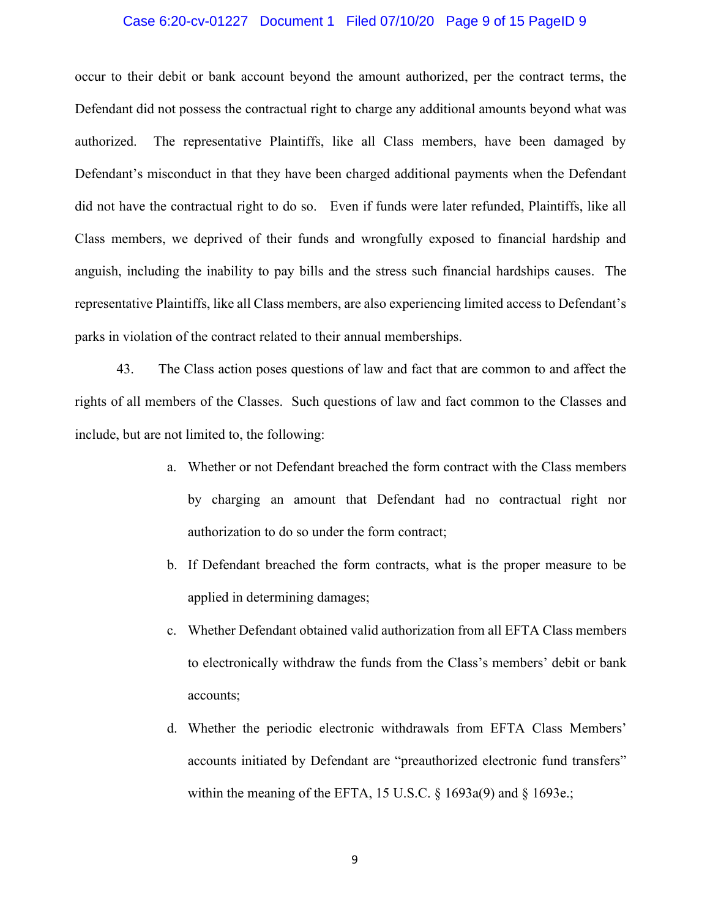#### Case 6:20-cv-01227 Document 1 Filed 07/10/20 Page 9 of 15 PageID 9

occur to their debit or bank account beyond the amount authorized, per the contract terms, the Defendant did not possess the contractual right to charge any additional amounts beyond what was authorized. The representative Plaintiffs, like all Class members, have been damaged by Defendant's misconduct in that they have been charged additional payments when the Defendant did not have the contractual right to do so. Even if funds were later refunded, Plaintiffs, like all Class members, we deprived of their funds and wrongfully exposed to financial hardship and anguish, including the inability to pay bills and the stress such financial hardships causes. The representative Plaintiffs, like all Class members, are also experiencing limited access to Defendant's parks in violation of the contract related to their annual memberships.

43. The Class action poses questions of law and fact that are common to and affect the rights of all members of the Classes. Such questions of law and fact common to the Classes and include, but are not limited to, the following:

- a. Whether or not Defendant breached the form contract with the Class members by charging an amount that Defendant had no contractual right nor authorization to do so under the form contract;
- b. If Defendant breached the form contracts, what is the proper measure to be applied in determining damages;
- c. Whether Defendant obtained valid authorization from all EFTA Class members to electronically withdraw the funds from the Class's members' debit or bank accounts;
- d. Whether the periodic electronic withdrawals from EFTA Class Members' accounts initiated by Defendant are "preauthorized electronic fund transfers" within the meaning of the EFTA, 15 U.S.C. § 1693a(9) and § 1693e.;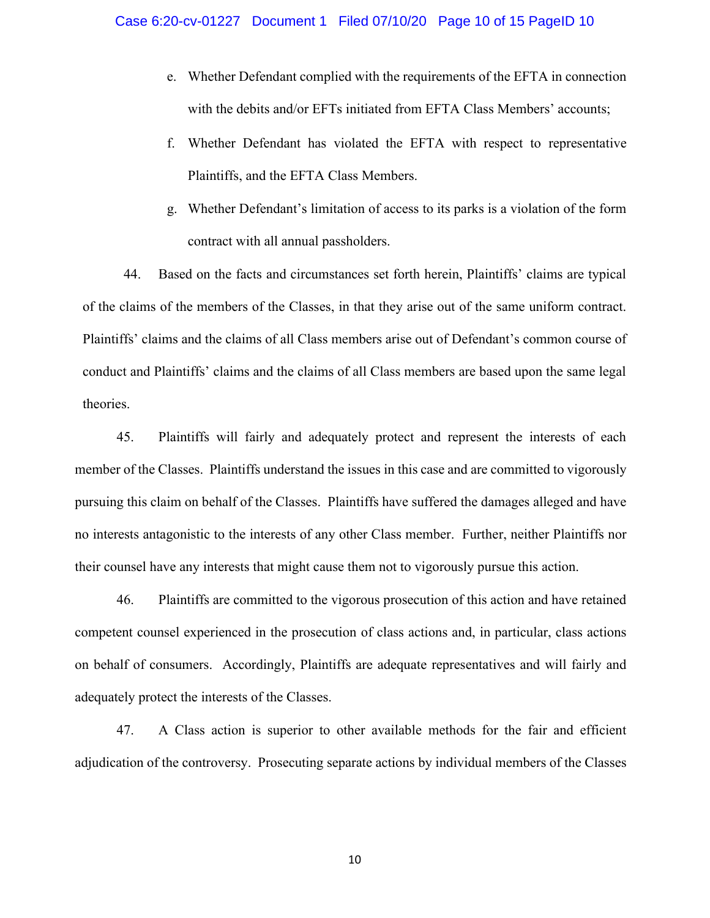- e. Whether Defendant complied with the requirements of the EFTA in connection with the debits and/or EFTs initiated from EFTA Class Members' accounts;
- f. Whether Defendant has violated the EFTA with respect to representative Plaintiffs, and the EFTA Class Members.
- g. Whether Defendant's limitation of access to its parks is a violation of the form contract with all annual passholders.

44. Based on the facts and circumstances set forth herein, Plaintiffs' claims are typical of the claims of the members of the Classes, in that they arise out of the same uniform contract. Plaintiffs' claims and the claims of all Class members arise out of Defendant's common course of conduct and Plaintiffs' claims and the claims of all Class members are based upon the same legal theories.

45. Plaintiffs will fairly and adequately protect and represent the interests of each member of the Classes. Plaintiffs understand the issues in this case and are committed to vigorously pursuing this claim on behalf of the Classes. Plaintiffs have suffered the damages alleged and have no interests antagonistic to the interests of any other Class member. Further, neither Plaintiffs nor their counsel have any interests that might cause them not to vigorously pursue this action.

46. Plaintiffs are committed to the vigorous prosecution of this action and have retained competent counsel experienced in the prosecution of class actions and, in particular, class actions on behalf of consumers. Accordingly, Plaintiffs are adequate representatives and will fairly and adequately protect the interests of the Classes.

47. A Class action is superior to other available methods for the fair and efficient adjudication of the controversy. Prosecuting separate actions by individual members of the Classes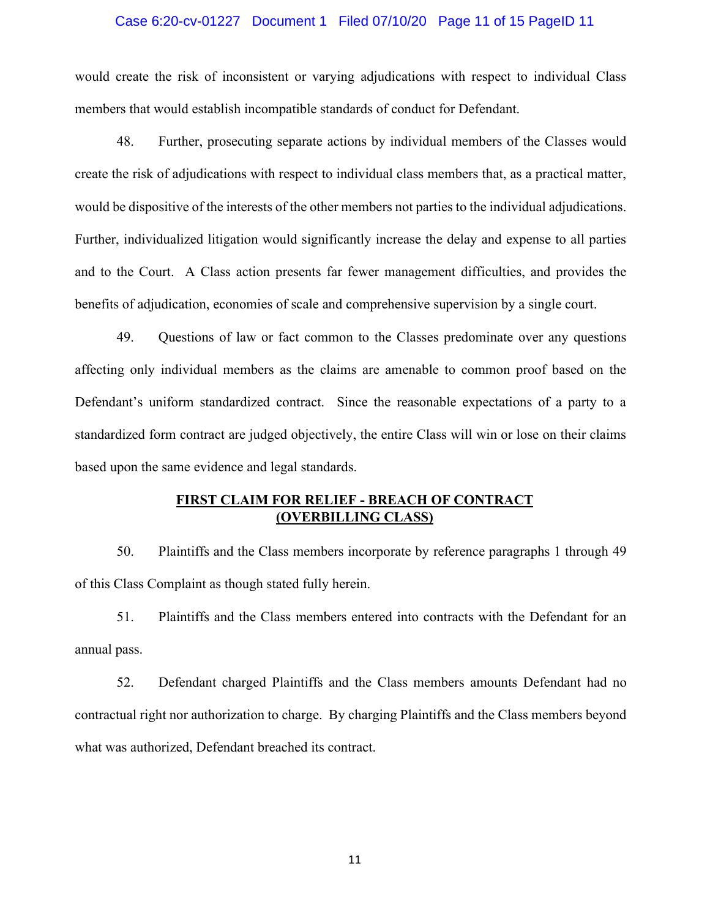#### Case 6:20-cv-01227 Document 1 Filed 07/10/20 Page 11 of 15 PageID 11

would create the risk of inconsistent or varying adjudications with respect to individual Class members that would establish incompatible standards of conduct for Defendant.

48. Further, prosecuting separate actions by individual members of the Classes would create the risk of adjudications with respect to individual class members that, as a practical matter, would be dispositive of the interests of the other members not parties to the individual adjudications. Further, individualized litigation would significantly increase the delay and expense to all parties and to the Court. A Class action presents far fewer management difficulties, and provides the benefits of adjudication, economies of scale and comprehensive supervision by a single court.

49. Questions of law or fact common to the Classes predominate over any questions affecting only individual members as the claims are amenable to common proof based on the Defendant's uniform standardized contract. Since the reasonable expectations of a party to a standardized form contract are judged objectively, the entire Class will win or lose on their claims based upon the same evidence and legal standards.

## **FIRST CLAIM FOR RELIEF - BREACH OF CONTRACT (OVERBILLING CLASS)**

50. Plaintiffs and the Class members incorporate by reference paragraphs 1 through 49 of this Class Complaint as though stated fully herein.

51. Plaintiffs and the Class members entered into contracts with the Defendant for an annual pass.

52. Defendant charged Plaintiffs and the Class members amounts Defendant had no contractual right nor authorization to charge. By charging Plaintiffs and the Class members beyond what was authorized, Defendant breached its contract.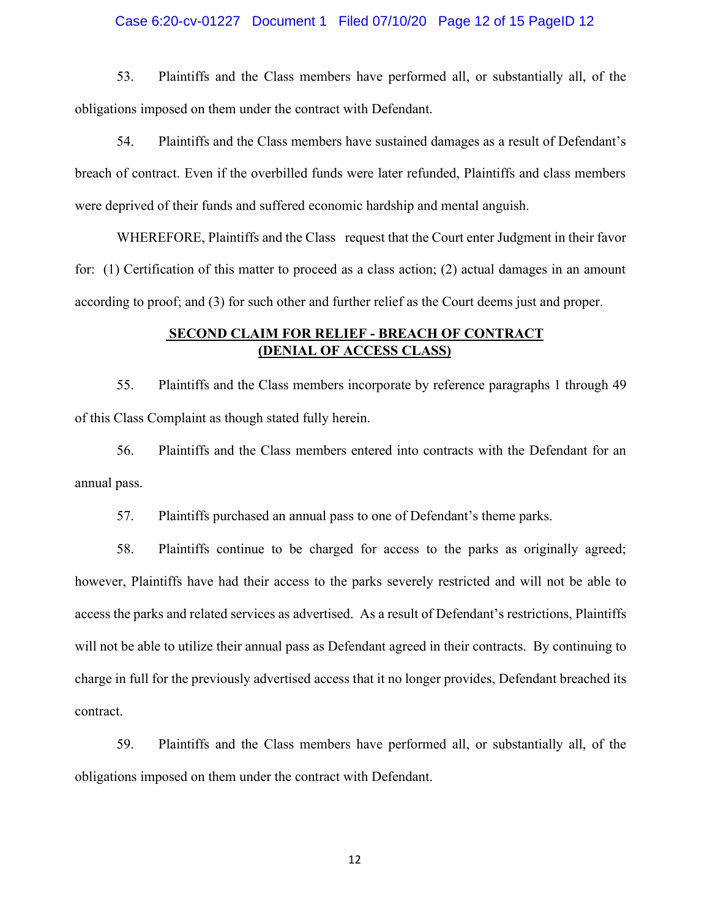#### Case 6:20-cv-01227 Document 1 Filed 07/10/20 Page 12 of 15 PageID 12

53. Plaintiffs and the Class members have performed all, or substantially all, of the obligations imposed on them under the contract with Defendant.

54. Plaintiffs and the Class members have sustained damages as a result of Defendant's breach of contract. Even if the overbilled funds were later refunded, Plaintiffs and class members were deprived of their funds and suffered economic hardship and mental anguish.

WHEREFORE, Plaintiffs and the Class request that the Court enter Judgment in their favor for: (1) Certification of this matter to proceed as a class action; (2) actual damages in an amount according to proof; and (3) for such other and further relief as the Court deems just and proper.

## **SECOND CLAIM FOR RELIEF - BREACH OF CONTRACT (DENIAL OF ACCESS CLASS)**

55. Plaintiffs and the Class members incorporate by reference paragraphs 1 through 49 of this Class Complaint as though stated fully herein.

56. Plaintiffs and the Class members entered into contracts with the Defendant for an annual pass.

57. Plaintiffs purchased an annual pass to one of Defendant's theme parks.

58. Plaintiffs continue to be charged for access to the parks as originally agreed; however, Plaintiffs have had their access to the parks severely restricted and will not be able to access the parks and related services as advertised. As a result of Defendant's restrictions, Plaintiffs will not be able to utilize their annual pass as Defendant agreed in their contracts. By continuing to charge in full for the previously advertised access that it no longer provides, Defendant breached its contract.

59. Plaintiffs and the Class members have performed all, or substantially all, of the obligations imposed on them under the contract with Defendant.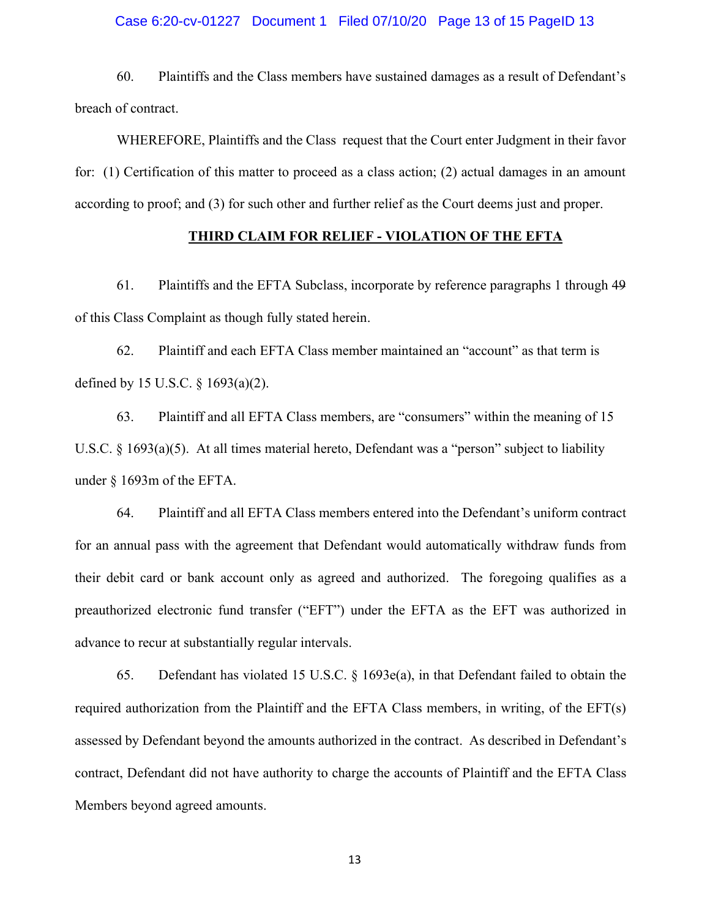#### Case 6:20-cv-01227 Document 1 Filed 07/10/20 Page 13 of 15 PageID 13

60. Plaintiffs and the Class members have sustained damages as a result of Defendant's breach of contract.

WHEREFORE, Plaintiffs and the Class request that the Court enter Judgment in their favor for: (1) Certification of this matter to proceed as a class action; (2) actual damages in an amount according to proof; and (3) for such other and further relief as the Court deems just and proper.

#### **THIRD CLAIM FOR RELIEF - VIOLATION OF THE EFTA**

61. Plaintiffs and the EFTA Subclass, incorporate by reference paragraphs 1 through 49 of this Class Complaint as though fully stated herein.

62. Plaintiff and each EFTA Class member maintained an "account" as that term is defined by 15 U.S.C. § 1693(a)(2).

63. Plaintiff and all EFTA Class members, are "consumers" within the meaning of 15 U.S.C. § 1693(a)(5). At all times material hereto, Defendant was a "person" subject to liability under § 1693m of the EFTA.

64. Plaintiff and all EFTA Class members entered into the Defendant's uniform contract for an annual pass with the agreement that Defendant would automatically withdraw funds from their debit card or bank account only as agreed and authorized. The foregoing qualifies as a preauthorized electronic fund transfer ("EFT") under the EFTA as the EFT was authorized in advance to recur at substantially regular intervals.

65. Defendant has violated 15 U.S.C. § 1693e(a), in that Defendant failed to obtain the required authorization from the Plaintiff and the EFTA Class members, in writing, of the EFT(s) assessed by Defendant beyond the amounts authorized in the contract. As described in Defendant's contract, Defendant did not have authority to charge the accounts of Plaintiff and the EFTA Class Members beyond agreed amounts.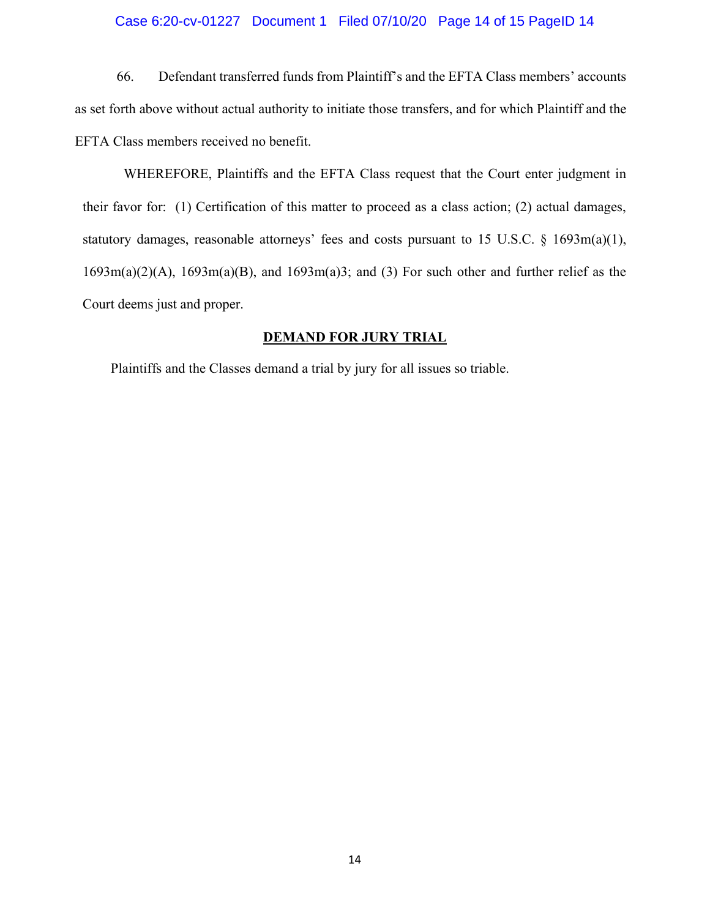#### Case 6:20-cv-01227 Document 1 Filed 07/10/20 Page 14 of 15 PageID 14

66. Defendant transferred funds from Plaintiff's and the EFTA Class members' accounts as set forth above without actual authority to initiate those transfers, and for which Plaintiff and the EFTA Class members received no benefit.

WHEREFORE, Plaintiffs and the EFTA Class request that the Court enter judgment in their favor for: (1) Certification of this matter to proceed as a class action; (2) actual damages, statutory damages, reasonable attorneys' fees and costs pursuant to 15 U.S.C.  $\S$  1693m(a)(1), 1693m(a)(2)(A), 1693m(a)(B), and 1693m(a)3; and (3) For such other and further relief as the Court deems just and proper.

### **DEMAND FOR JURY TRIAL**

Plaintiffs and the Classes demand a trial by jury for all issues so triable.